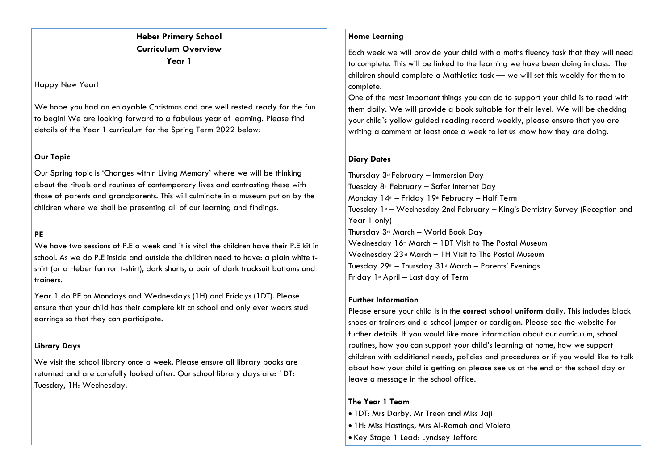# **Heber Primary School Curriculum Overview Year 1**

#### Happy New Year!

We hope you had an enjoyable Christmas and are well rested ready for the fun to begin! We are looking forward to a fabulous year of learning. Please find details of the Year 1 curriculum for the Spring Term 2022 below:

## **Our Topic**

Our Spring topic is 'Changes within Living Memory' where we will be thinking about the rituals and routines of contemporary lives and contrasting these with those of parents and grandparents. This will culminate in a museum put on by the children where we shall be presenting all of our learning and findings.

## **PE**

We have two sessions of P.E a week and it is vital the children have their P.E kit in school. As we do P.E inside and outside the children need to have: a plain white tshirt (or a Heber fun run t-shirt), dark shorts, a pair of dark tracksuit bottoms and trainers.

Year 1 do PE on Mondays and Wednesdays (1H) and Fridays (1DT). Please ensure that your child has their complete kit at school and only ever wears stud earrings so that they can participate.

## **Library Days**

We visit the school library once a week. Please ensure all library books are returned and are carefully looked after. Our school library days are: 1DT: Tuesday, 1H: Wednesday.

## **Home Learning**

Each week we will provide your child with a moths fluency task that they will need to complete. This will be linked to the learning we have been doing in class. The children should complete a Mathletics task — we will set this weekly for them to complete.

One of the most important things you can do to support your child is to read with them daily. We will provide a book suitable for their level. We will be checking your child's yellow guided reading record weekly, please ensure that you are writing a comment at least once a week to let us know how they are doing.

## **Diary Dates**

Thursday 3rd February – Immersion Day Tuesday 8<sup>th</sup> February – Safer Internet Day Monday  $14^{\text{th}}$  – Friday 19<sup>th</sup> February – Half Term Tuesday 1st – Wednesday 2nd February – King's Dentistry Survey (Reception and Year 1 only) Thursday  $3^d$  March – World Book Day Wednesday 16<sup>th</sup> March – 1DT Visit to The Postal Museum Wednesday 23rd March – 1H Visit to The Postal Museum Tuesday  $29<sup>th</sup>$  – Thursday  $31<sup>st</sup>$  March – Parents' Evenings Friday  $1$ <sup>s</sup> April – Last day of Term

#### **Further Information**

Please ensure your child is in the **correct school uniform** daily. This includes black shoes or trainers and a school jumper or cardigan. Please see the website for further details. If you would like more information about our curriculum, school routines, how you can support your child's learning at home, how we support children with additional needs, policies and procedures or if you would like to talk about how your child is getting on please see us at the end of the school day or leave a message in the school office.

## **The Year 1 Team**

- 1DT: Mrs Darby, Mr Treen and Miss Jaji
- 1H: Miss Hastings, Mrs Al-Ramah and Violeta
- Key Stage 1 Lead: Lyndsey Jefford